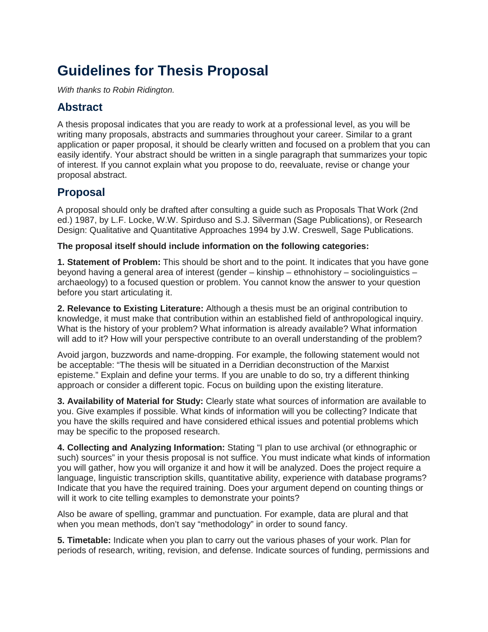# **Guidelines for Thesis Proposal**

*With thanks to Robin Ridington.*

#### **Abstract**

A thesis proposal indicates that you are ready to work at a professional level, as you will be writing many proposals, abstracts and summaries throughout your career. Similar to a grant application or paper proposal, it should be clearly written and focused on a problem that you can easily identify. Your abstract should be written in a single paragraph that summarizes your topic of interest. If you cannot explain what you propose to do, reevaluate, revise or change your proposal abstract.

### **Proposal**

A proposal should only be drafted after consulting a guide such as Proposals That Work (2nd ed.) 1987, by L.F. Locke, W.W. Spirduso and S.J. Silverman (Sage Publications), or Research Design: Qualitative and Quantitative Approaches 1994 by J.W. Creswell, Sage Publications.

#### **The proposal itself should include information on the following categories:**

**1. Statement of Problem:** This should be short and to the point. It indicates that you have gone beyond having a general area of interest (gender – kinship – ethnohistory – sociolinguistics – archaeology) to a focused question or problem. You cannot know the answer to your question before you start articulating it.

**2. Relevance to Existing Literature:** Although a thesis must be an original contribution to knowledge, it must make that contribution within an established field of anthropological inquiry. What is the history of your problem? What information is already available? What information will add to it? How will your perspective contribute to an overall understanding of the problem?

Avoid jargon, buzzwords and name-dropping. For example, the following statement would not be acceptable: "The thesis will be situated in a Derridian deconstruction of the Marxist episteme." Explain and define your terms. If you are unable to do so, try a different thinking approach or consider a different topic. Focus on building upon the existing literature.

**3. Availability of Material for Study:** Clearly state what sources of information are available to you. Give examples if possible. What kinds of information will you be collecting? Indicate that you have the skills required and have considered ethical issues and potential problems which may be specific to the proposed research.

**4. Collecting and Analyzing Information:** Stating "I plan to use archival (or ethnographic or such) sources" in your thesis proposal is not suffice. You must indicate what kinds of information you will gather, how you will organize it and how it will be analyzed. Does the project require a language, linguistic transcription skills, quantitative ability, experience with database programs? Indicate that you have the required training. Does your argument depend on counting things or will it work to cite telling examples to demonstrate your points?

Also be aware of spelling, grammar and punctuation. For example, data are plural and that when you mean methods, don't say "methodology" in order to sound fancy.

**5. Timetable:** Indicate when you plan to carry out the various phases of your work. Plan for periods of research, writing, revision, and defense. Indicate sources of funding, permissions and